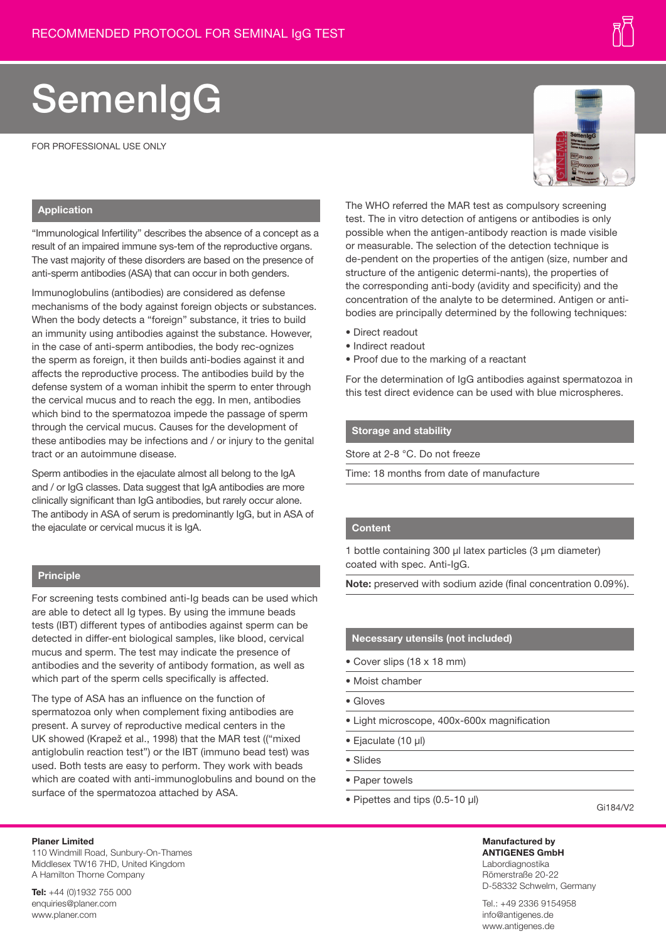# SemenlgG

FOR PROFESSIONAL USE ONLY

#### **Application**

"Immunological Infertility" describes the absence of a concept as a result of an impaired immune sys-tem of the reproductive organs. The vast majority of these disorders are based on the presence of anti-sperm antibodies (ASA) that can occur in both genders.

Immunoglobulins (antibodies) are considered as defense mechanisms of the body against foreign objects or substances. When the body detects a "foreign" substance, it tries to build an immunity using antibodies against the substance. However, in the case of anti-sperm antibodies, the body rec-ognizes the sperm as foreign, it then builds anti-bodies against it and affects the reproductive process. The antibodies build by the defense system of a woman inhibit the sperm to enter through the cervical mucus and to reach the egg. In men, antibodies which bind to the spermatozoa impede the passage of sperm through the cervical mucus. Causes for the development of these antibodies may be infections and / or injury to the genital tract or an autoimmune disease.

Sperm antibodies in the ejaculate almost all belong to the IgA and / or IgG classes. Data suggest that IgA antibodies are more clinically significant than IgG antibodies, but rarely occur alone. The antibody in ASA of serum is predominantly IgG, but in ASA of the ejaculate or cervical mucus it is IgA.

# **Principle**

For screening tests combined anti-Ig beads can be used which are able to detect all Ig types. By using the immune beads tests (IBT) different types of antibodies against sperm can be detected in differ-ent biological samples, like blood, cervical mucus and sperm. The test may indicate the presence of antibodies and the severity of antibody formation, as well as which part of the sperm cells specifically is affected.

The type of ASA has an influence on the function of spermatozoa only when complement fixing antibodies are present. A survey of reproductive medical centers in the UK showed (Krapež et al., 1998) that the MAR test (("mixed antiglobulin reaction test") or the IBT (immuno bead test) was used. Both tests are easy to perform. They work with beads which are coated with anti-immunoglobulins and bound on the surface of the spermatozoa attached by ASA.

The WHO referred the MAR test as compulsory screening test. The in vitro detection of antigens or antibodies is only possible when the antigen-antibody reaction is made visible

or measurable. The selection of the detection technique is de-pendent on the properties of the antigen (size, number and structure of the antigenic determi-nants), the properties of the corresponding anti-body (avidity and specificity) and the concentration of the analyte to be determined. Antigen or antibodies are principally determined by the following techniques:

- Direct readout
- Indirect readout
- Proof due to the marking of a reactant

For the determination of IgG antibodies against spermatozoa in this test direct evidence can be used with blue microspheres.

# **Storage and stability**

Store at 2-8 °C. Do not freeze

Time: 18 months from date of manufacture

#### **Content**

1 bottle containing 300 µl latex particles (3 µm diameter) coated with spec. Anti-IgG.

**Note:** preserved with sodium azide (final concentration 0.09%).

#### **Necessary utensils (not included)**

- Cover slips (18 x 18 mm)
- Moist chamber
- Gloves
- Light microscope, 400x-600x magnification
- Ejaculate (10 µl)
- Slides
- Paper towels
- Pipettes and tips (0.5-10 µl)

Gi184/V2

**Manufactured by ANTIGENES GmbH** Labordiagnostika Römerstraße 20-22 D-58332 Schwelm, Germany

Tel.: +49 2336 9154958 info@antigenes.de www.antigenes.de

# **Planer Limited**

110 Windmill Road, Sunbury-On-Thames Middlesex TW16 7HD, United Kingdom A Hamilton Thorne Company

**Tel:** +44 (0)1932 755 000 enquiries@planer.com www.planer.com

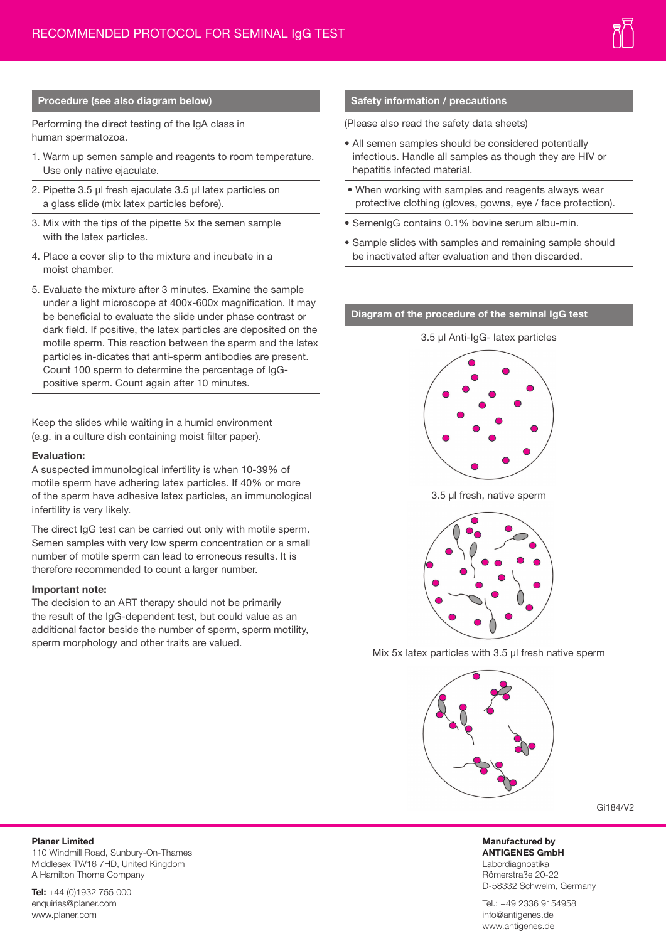# **Procedure (see also diagram below)**

Performing the direct testing of the IgA class in human spermatozoa.

- 1. Warm up semen sample and reagents to room temperature. Use only native ejaculate.
- 2. Pipette 3.5 µl fresh ejaculate 3.5 µl latex particles on a glass slide (mix latex particles before).
- 3. Mix with the tips of the pipette 5x the semen sample with the latex particles.
- 4. Place a cover slip to the mixture and incubate in a moist chamber.
- 5. Evaluate the mixture after 3 minutes. Examine the sample under a light microscope at 400x-600x magnification. It may be beneficial to evaluate the slide under phase contrast or dark field. If positive, the latex particles are deposited on the motile sperm. This reaction between the sperm and the latex particles in-dicates that anti-sperm antibodies are present. Count 100 sperm to determine the percentage of IgGpositive sperm. Count again after 10 minutes.

Keep the slides while waiting in a humid environment (e.g. in a culture dish containing moist filter paper).

#### **Evaluation:**

A suspected immunological infertility is when 10-39% of motile sperm have adhering latex particles. If 40% or more of the sperm have adhesive latex particles, an immunological infertility is very likely.

The direct IgG test can be carried out only with motile sperm. Semen samples with very low sperm concentration or a small number of motile sperm can lead to erroneous results. It is therefore recommended to count a larger number.

#### **Important note:**

The decision to an ART therapy should not be primarily the result of the IgG-dependent test, but could value as an additional factor beside the number of sperm, sperm motility, sperm morphology and other traits are valued.

### **Safety information / precautions**

(Please also read the safety data sheets)

- All semen samples should be considered potentially infectious. Handle all samples as though they are HIV or hepatitis infected material.
- When working with samples and reagents always wear protective clothing (gloves, gowns, eye / face protection).
- SemenIgG contains 0.1% bovine serum albu-min.
- Sample slides with samples and remaining sample should be inactivated after evaluation and then discarded.

# **Diagram of the procedure of the seminal IgG test**



3.5 µl fresh, native sperm



Mix 5x latex particles with 3.5 µl fresh native sperm



Gi184/V2

**Manufactured by ANTIGENES GmbH** Labordiagnostika Römerstraße 20-22 D-58332 Schwelm, Germany

Tel.: +49 2336 9154958 info@antigenes.de www.antigenes.de

# **Planer Limited**

110 Windmill Road, Sunbury-On-Thames Middlesex TW16 7HD, United Kingdom A Hamilton Thorne Company

**Tel:** +44 (0)1932 755 000 enquiries@planer.com www.planer.com